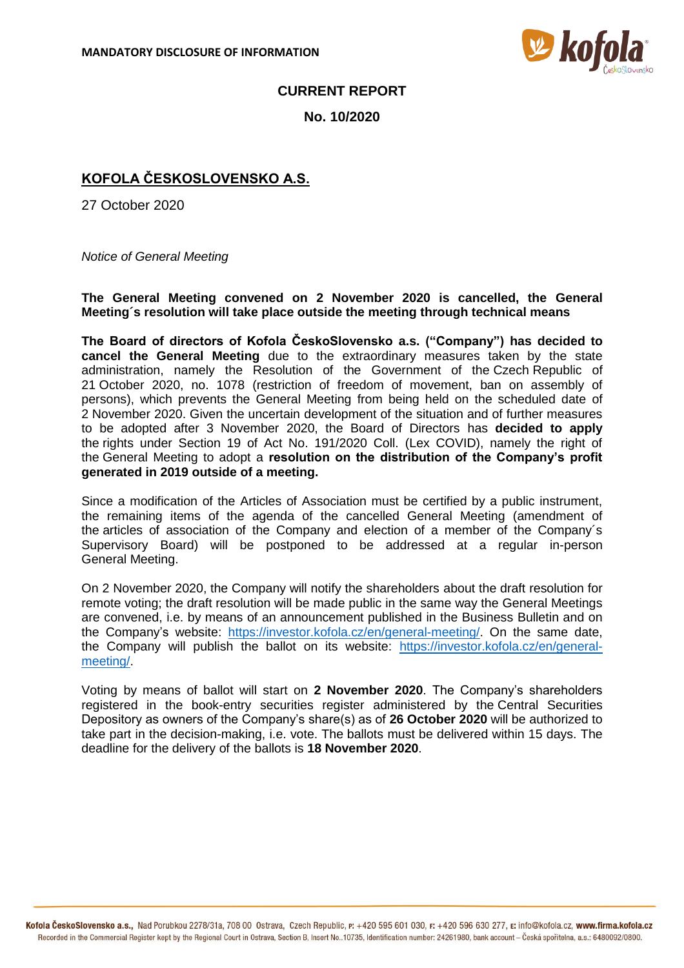

## **CURRENT REPORT**

**No. 10/2020**

## **KOFOLA ČESKOSLOVENSKO A.S.**

27 October 2020

*Notice of General Meeting*

**The General Meeting convened on 2 November 2020 is cancelled, the General Meeting´s resolution will take place outside the meeting through technical means**

**The Board of directors of Kofola ČeskoSlovensko a.s. ("Company") has decided to cancel the General Meeting** due to the extraordinary measures taken by the state administration, namely the Resolution of the Government of the Czech Republic of 21 October 2020, no. 1078 (restriction of freedom of movement, ban on assembly of persons), which prevents the General Meeting from being held on the scheduled date of 2 November 2020. Given the uncertain development of the situation and of further measures to be adopted after 3 November 2020, the Board of Directors has **decided to apply** the rights under Section 19 of Act No. 191/2020 Coll. (Lex COVID), namely the right of the General Meeting to adopt a **resolution on the distribution of the Company's profit generated in 2019 outside of a meeting.** 

Since a modification of the Articles of Association must be certified by a public instrument, the remaining items of the agenda of the cancelled General Meeting (amendment of the articles of association of the Company and election of a member of the Company´s Supervisory Board) will be postponed to be addressed at a regular in-person General Meeting.

On 2 November 2020, the Company will notify the shareholders about the draft resolution for remote voting; the draft resolution will be made public in the same way the General Meetings are convened, i.e. by means of an announcement published in the Business Bulletin and on the Company's website: [https://investor.kofola.cz/en/general-meeting/.](https://investor.kofola.cz/en/general-meeting/) On the same date, the Company will publish the ballot on its website: [https://investor.kofola.cz/en/general](https://investor.kofola.cz/en/general-meeting/)[meeting/.](https://investor.kofola.cz/en/general-meeting/)

Voting by means of ballot will start on **2 November 2020**. The Company's shareholders registered in the book-entry securities register administered by the Central Securities Depository as owners of the Company's share(s) as of **26 October 2020** will be authorized to take part in the decision-making, i.e. vote. The ballots must be delivered within 15 days. The deadline for the delivery of the ballots is **18 November 2020**.